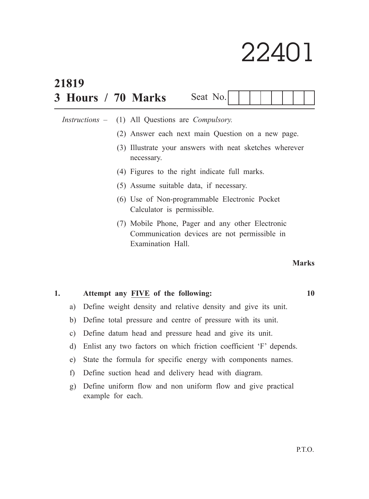# 22401

| 21819 |                |  |                                                                             |                                                                                                                       |  |          |  |  |  |  |              |                             |
|-------|----------------|--|-----------------------------------------------------------------------------|-----------------------------------------------------------------------------------------------------------------------|--|----------|--|--|--|--|--------------|-----------------------------|
|       |                |  |                                                                             | 3 Hours / 70 Marks                                                                                                    |  | Seat No. |  |  |  |  |              |                             |
|       |                |  |                                                                             | <i>Instructions</i> – (1) All Questions are <i>Compulsory</i> .                                                       |  |          |  |  |  |  |              |                             |
|       |                |  |                                                                             | (2) Answer each next main Question on a new page.                                                                     |  |          |  |  |  |  |              |                             |
|       |                |  |                                                                             | (3) Illustrate your answers with neat sketches wherever<br>necessary.                                                 |  |          |  |  |  |  |              |                             |
|       |                |  |                                                                             | (4) Figures to the right indicate full marks.                                                                         |  |          |  |  |  |  |              |                             |
|       |                |  |                                                                             | (5) Assume suitable data, if necessary.                                                                               |  |          |  |  |  |  |              |                             |
|       |                |  | (6) Use of Non-programmable Electronic Pocket<br>Calculator is permissible. |                                                                                                                       |  |          |  |  |  |  |              |                             |
|       |                |  |                                                                             | (7) Mobile Phone, Pager and any other Electronic<br>Communication devices are not permissible in<br>Examination Hall. |  |          |  |  |  |  |              |                             |
|       |                |  |                                                                             |                                                                                                                       |  |          |  |  |  |  | <b>Marks</b> |                             |
|       | $\blacksquare$ |  |                                                                             | <b>TITTITI</b><br>$\mathbf{r}$ $\mathbf{r}$                                                                           |  |          |  |  |  |  |              | $\triangleleft$ $\triangle$ |

## **1. Attempt any FIVE of the following: 10**

- a) Define weight density and relative density and give its unit.
- b) Define total pressure and centre of pressure with its unit.
- c) Define datum head and pressure head and give its unit.
- d) Enlist any two factors on which friction coefficient 'F' depends.
- e) State the formula for specific energy with components names.
- f) Define suction head and delivery head with diagram.
- g) Define uniform flow and non uniform flow and give practical example for each.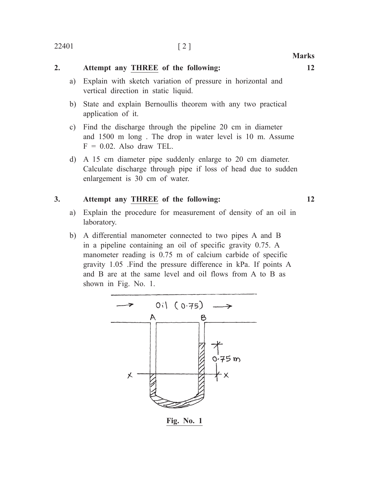#### 22401 [ 2 ]

**Marks**

### **2. Attempt any THREE of the following: 12**

- a) Explain with sketch variation of pressure in horizontal and vertical direction in static liquid.
- b) State and explain Bernoullis theorem with any two practical application of it.
- c) Find the discharge through the pipeline 20 cm in diameter and 1500 m long . The drop in water level is 10 m. Assume  $F = 0.02$ . Also draw TEL.
- d) A 15 cm diameter pipe suddenly enlarge to 20 cm diameter. Calculate discharge through pipe if loss of head due to sudden enlargement is 30 cm of water.

#### **3. Attempt any THREE of the following: 12**

- a) Explain the procedure for measurement of density of an oil in laboratory.
- b) A differential manometer connected to two pipes A and B in a pipeline containing an oil of specific gravity 0.75. A manometer reading is 0.75 m of calcium carbide of specific gravity 1.05 .Find the pressure difference in kPa. If points A and B are at the same level and oil flows from A to B as shown in Fig. No. 1.



**Fig. No. 1**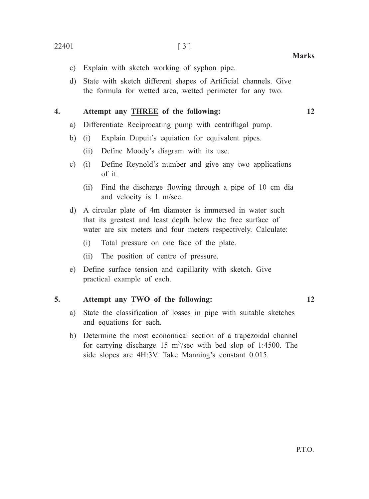- c) Explain with sketch working of syphon pipe.
- d) State with sketch different shapes of Artificial channels. Give the formula for wetted area, wetted perimeter for any two.

#### **4. Attempt any THREE of the following: 12**

- a) Differentiate Reciprocating pump with centrifugal pump.
- b) (i) Explain Dupuit's equiation for equivalent pipes.
	- (ii) Define Moody's diagram with its use.
- c) (i) Define Reynold's number and give any two applications of it.
	- (ii) Find the discharge flowing through a pipe of 10 cm dia and velocity is 1 m/sec.
- d) A circular plate of 4m diameter is immersed in water such that its greatest and least depth below the free surface of water are six meters and four meters respectively. Calculate:
	- (i) Total pressure on one face of the plate.
	- (ii) The position of centre of pressure.
- e) Define surface tension and capillarity with sketch. Give practical example of each.

#### **5. Attempt any TWO of the following: 12**

- a) State the classification of losses in pipe with suitable sketches and equations for each.
- b) Determine the most economical section of a trapezoidal channel for carrying discharge 15  $\text{m}^3/\text{sec}$  with bed slop of 1:4500. The side slopes are 4H:3V. Take Manning's constant 0.015.